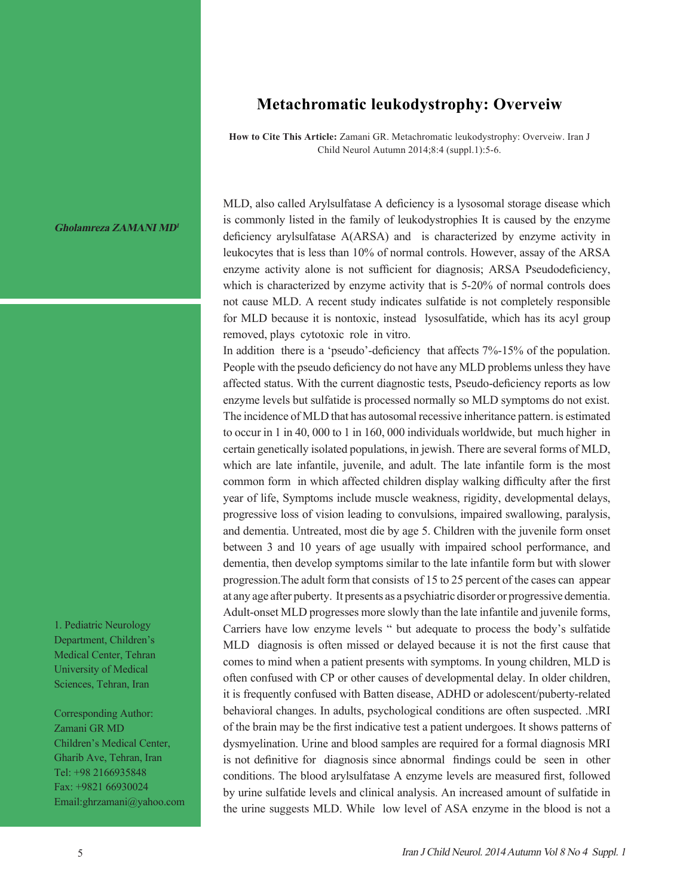## **Metachromatic leukodystrophy: Overveiw**

**How to Cite This Article:** Zamani GR. Metachromatic leukodystrophy: Overveiw. Iran J Child Neurol Autumn 2014;8:4 (suppl.1):5-6.

**Gholamreza ZAMANI MD<sup>1</sup>**

1. Pediatric Neurology Department, Children's Medical Center, Tehran University of Medical Sciences, Tehran, Iran

Corresponding Author: Zamani GR MD Children's Medical Center, Gharib Ave, Tehran, Iran Tel: +98 2166935848 Fax: +9821 66930024 Email:ghrzamani@yahoo.com MLD, also called Arylsulfatase A deficiency is a lysosomal storage disease which is commonly listed in the family of leukodystrophies It is caused by the enzyme deficiency arylsulfatase A(ARSA) and is characterized by enzyme activity in leukocytes that is less than 10% of normal controls. However, assay of the ARSA enzyme activity alone is not sufficient for diagnosis; ARSA Pseudodeficiency, which is characterized by enzyme activity that is 5-20% of normal controls does not cause MLD. A recent study indicates sulfatide is not completely responsible for MLD because it is nontoxic, instead lysosulfatide, which has its acyl group removed, plays cytotoxic role in vitro.

In addition there is a 'pseudo'-deficiency that affects 7%-15% of the population. People with the pseudo deficiency do not have any MLD problems unless they have affected status. With the current diagnostic tests, Pseudo-deficiency reports as low enzyme levels but sulfatide is processed normally so MLD symptoms do not exist. The incidence of MLD that has autosomal recessive inheritance pattern. is estimated to occur in 1 in 40, 000 to 1 in 160, 000 individuals worldwide, but much higher in certain genetically isolated populations, in jewish. There are several forms of MLD, which are late infantile, juvenile, and adult. The late infantile form is the most common form in which affected children display walking difficulty after the first year of life, Symptoms include muscle weakness, rigidity, developmental delays, progressive loss of vision leading to convulsions, impaired swallowing, paralysis, and dementia. Untreated, most die by age 5. Children with the juvenile form onset between 3 and 10 years of age usually with impaired school performance, and dementia, then develop symptoms similar to the late infantile form but with slower progression.The adult form that consists of 15 to 25 percent of the cases can appear at any age after puberty. It presents as a psychiatric disorder or progressive dementia. Adult-onset MLD progresses more slowly than the late infantile and juvenile forms, Carriers have low enzyme levels " but adequate to process the body's sulfatide MLD diagnosis is often missed or delayed because it is not the first cause that comes to mind when a patient presents with symptoms. In young children, MLD is often confused with CP or other causes of developmental delay. In older children, it is frequently confused with Batten disease, ADHD or adolescent/puberty-related behavioral changes. In adults, psychological conditions are often suspected. .MRI of the brain may be the first indicative test a patient undergoes. It shows patterns of dysmyelination. Urine and blood samples are required for a formal diagnosis MRI is not definitive for diagnosis since abnormal findings could be seen in other conditions. The blood arylsulfatase A enzyme levels are measured first, followed by urine sulfatide levels and clinical analysis. An increased amount of sulfatide in the urine suggests MLD. While low level of ASA enzyme in the blood is not a